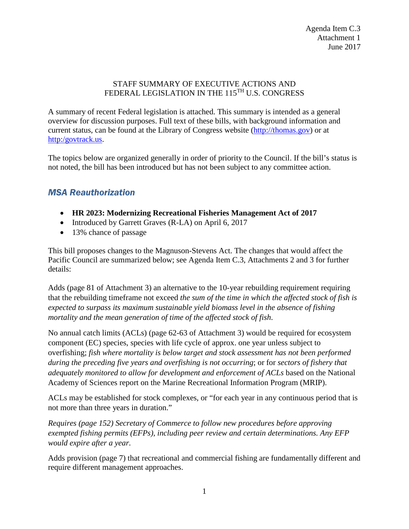#### STAFF SUMMARY OF EXECUTIVE ACTIONS AND FEDERAL LEGISLATION IN THE 115<sup>TH</sup> U.S. CONGRESS

A summary of recent Federal legislation is attached. This summary is intended as a general overview for discussion purposes. Full text of these bills, with background information and current status, can be found at the Library of Congress website [\(http://thomas.gov\)](http://thomas.gov/) or at [http:/govtrack.us.](http://govtrack.us/)

The topics below are organized generally in order of priority to the Council. If the bill's status is not noted, the bill has been introduced but has not been subject to any committee action.

## *MSA Reauthorization*

- **HR 2023: Modernizing Recreational Fisheries Management Act of 2017**
- Introduced by Garrett Graves (R-LA) on April 6, 2017
- 13% chance of passage

This bill proposes changes to the Magnuson-Stevens Act. The changes that would affect the Pacific Council are summarized below; see Agenda Item C.3, Attachments 2 and 3 for further details:

Adds (page 81 of Attachment 3) an alternative to the 10-year rebuilding requirement requiring that the rebuilding timeframe not exceed *the sum of the time in which the affected stock of fish is expected to surpass its maximum sustainable yield biomass level in the absence of fishing mortality and the mean generation of time of the affected stock of fish*.

No annual catch limits (ACLs) (page 62-63 of Attachment 3) would be required for ecosystem component (EC) species, species with life cycle of approx. one year unless subject to overfishing; *fish where mortality is below target and stock assessment has not been performed during the preceding five years and overfishing is not occurring*; or for *sectors of fishery that adequately monitored to allow for development and enforcement of ACLs* based on the National Academy of Sciences report on the Marine Recreational Information Program (MRIP).

ACLs may be established for stock complexes, or "for each year in any continuous period that is not more than three years in duration."

*Requires (page 152) Secretary of Commerce to follow new procedures before approving exempted fishing permits (EFPs), including peer review and certain determinations. Any EFP would expire after a year.*

Adds provision (page 7) that recreational and commercial fishing are fundamentally different and require different management approaches.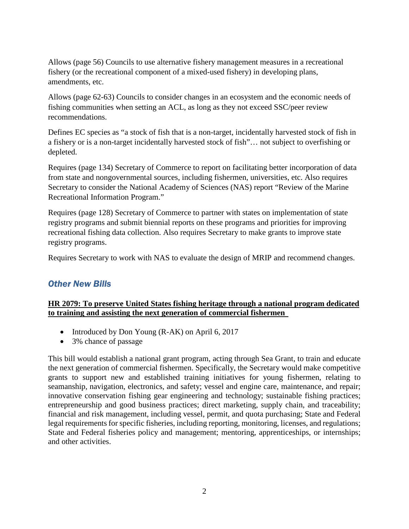Allows (page 56) Councils to use alternative fishery management measures in a recreational fishery (or the recreational component of a mixed-used fishery) in developing plans, amendments, etc.

Allows (page 62-63) Councils to consider changes in an ecosystem and the economic needs of fishing communities when setting an ACL, as long as they not exceed SSC/peer review recommendations.

Defines EC species as "a stock of fish that is a non-target, incidentally harvested stock of fish in a fishery or is a non-target incidentally harvested stock of fish"… not subject to overfishing or depleted.

Requires (page 134) Secretary of Commerce to report on facilitating better incorporation of data from state and nongovernmental sources, including fishermen, universities, etc. Also requires Secretary to consider the National Academy of Sciences (NAS) report "Review of the Marine Recreational Information Program."

Requires (page 128) Secretary of Commerce to partner with states on implementation of state registry programs and submit biennial reports on these programs and priorities for improving recreational fishing data collection. Also requires Secretary to make grants to improve state registry programs.

Requires Secretary to work with NAS to evaluate the design of MRIP and recommend changes.

## *Other New Bills*

### **HR 2079: To preserve United States fishing heritage through a national program dedicated to training and assisting the next generation of commercial fishermen**

- Introduced by Don Young (R-AK) on April 6, 2017
- 3% chance of passage

This bill would establish a national grant program, acting through Sea Grant, to train and educate the next generation of commercial fishermen. Specifically, the Secretary would make competitive grants to support new and established training initiatives for young fishermen, relating to seamanship, navigation, electronics, and safety; vessel and engine care, maintenance, and repair; innovative conservation fishing gear engineering and technology; sustainable fishing practices; entrepreneurship and good business practices; direct marketing, supply chain, and traceability; financial and risk management, including vessel, permit, and quota purchasing; State and Federal legal requirements for specific fisheries, including reporting, monitoring, licenses, and regulations; State and Federal fisheries policy and management; mentoring, apprenticeships, or internships; and other activities.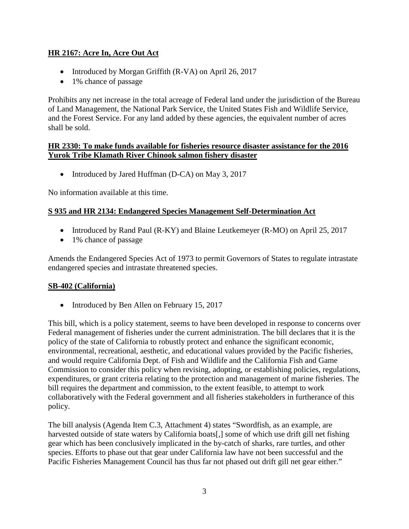### **HR 2167: Acre In, Acre Out Act**

- Introduced by Morgan Griffith (R-VA) on April 26, 2017
- 1% chance of passage

Prohibits any net increase in the total acreage of Federal land under the jurisdiction of the Bureau of Land Management, the National Park Service, the United States Fish and Wildlife Service, and the Forest Service. For any land added by these agencies, the equivalent number of acres shall be sold.

#### **HR 2330: To make funds available for fisheries resource disaster assistance for the 2016 Yurok Tribe Klamath River Chinook salmon fishery disaster**

• Introduced by Jared Huffman (D-CA) on May 3, 2017

No information available at this time.

### **S 935 and HR 2134: Endangered Species Management Self-Determination Act**

- Introduced by Rand Paul (R-KY) and Blaine Leutkemeyer (R-MO) on April 25, 2017
- 1% chance of passage

Amends the Endangered Species Act of 1973 to permit Governors of States to regulate intrastate endangered species and intrastate threatened species.

### **SB-402 (California)**

• Introduced by Ben Allen on February 15, 2017

This bill, which is a policy statement, seems to have been developed in response to concerns over Federal management of fisheries under the current administration. The bill declares that it is the policy of the state of California to robustly protect and enhance the significant economic, environmental, recreational, aesthetic, and educational values provided by the Pacific fisheries, and would require California Dept. of Fish and Wildlife and the California Fish and Game Commission to consider this policy when revising, adopting, or establishing policies, regulations, expenditures, or grant criteria relating to the protection and management of marine fisheries. The bill requires the department and commission, to the extent feasible, to attempt to work collaboratively with the Federal government and all fisheries stakeholders in furtherance of this policy.

The bill analysis (Agenda Item C.3, Attachment 4) states "Swordfish, as an example, are harvested outside of state waters by California boats[,] some of which use drift gill net fishing gear which has been conclusively implicated in the by-catch of sharks, rare turtles, and other species. Efforts to phase out that gear under California law have not been successful and the Pacific Fisheries Management Council has thus far not phased out drift gill net gear either."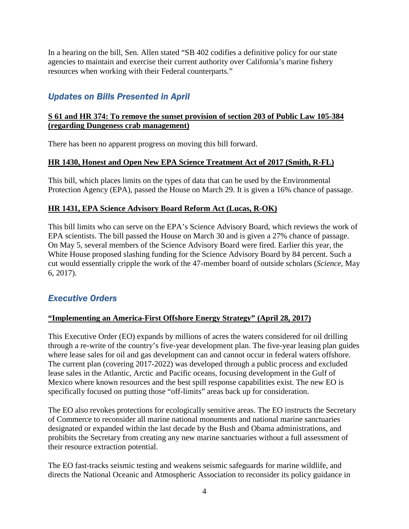In a hearing on the bill, Sen. Allen stated "SB 402 codifies a definitive policy for our state agencies to maintain and exercise their current authority over California's marine fishery resources when working with their Federal counterparts."

# *Updates on Bills Presented in April*

### **S 61 and HR 374: To remove the sunset provision of section 203 of Public Law 105-384 (regarding Dungeness crab management)**

There has been no apparent progress on moving this bill forward.

### **HR 1430, Honest and Open New EPA Science Treatment Act of 2017 (Smith, R-FL)**

This bill, which places limits on the types of data that can be used by the Environmental Protection Agency (EPA), passed the House on March 29. It is given a 16% chance of passage.

### **HR 1431, EPA Science Advisory Board Reform Act (Lucas, R-OK)**

This bill limits who can serve on the EPA's Science Advisory Board, which reviews the work of EPA scientists. The bill passed the House on March 30 and is given a 27% chance of passage. On May 5, several members of the Science Advisory Board were fired. Earlier this year, the White House proposed slashing funding for the Science Advisory Board by 84 percent. Such a cut would essentially cripple the work of the 47-member board of outside scholars (*Science*, May 6, 2017).

## *Executive Orders*

### **"Implementing an America-First Offshore Energy Strategy" (April 28, 2017)**

This Executive Order (EO) expands by millions of acres the waters considered for oil drilling through a re-write of the country's five-year development plan. The five-year leasing plan guides where lease sales for oil and gas development can and cannot occur in federal waters offshore. The current plan (covering 2017-2022) was developed through a public process and excluded lease sales in the Atlantic, Arctic and Pacific oceans, focusing development in the Gulf of Mexico where known resources and the best spill response capabilities exist. The new EO is specifically focused on putting those "off-limits" areas back up for consideration.

The EO also revokes protections for ecologically sensitive areas. The EO instructs the Secretary of Commerce to reconsider all marine national monuments and national marine sanctuaries designated or expanded within the last decade by the Bush and Obama administrations, and prohibits the Secretary from creating any new marine sanctuaries without a full assessment of their resource extraction potential.

The EO fast-tracks seismic testing and weakens seismic safeguards for marine wildlife, and directs the National Oceanic and Atmospheric Association to reconsider its policy guidance in